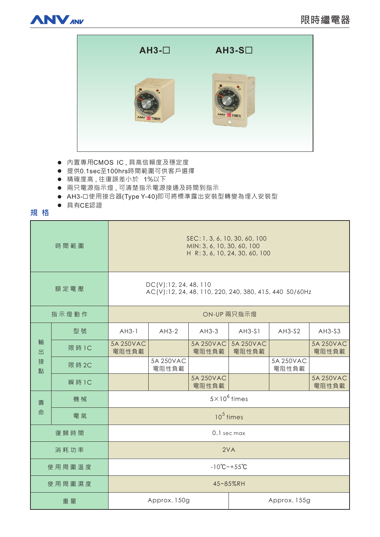



- 内置專用CMOS IC,具高信賴度及穩定度
- 提供0.1sec至100hrs時間範圍可供客戶選擇
- 精確度高,往復誤差小於 1%以下
- 兩只電源指示燈,可清楚指示電源接通及時間到指示
- AH3-口使用接合器(Type Y-40)即可將標準露出安裝型轉變為埋入安裝型
- 具有CE認證

# 規格

| 時間範圍             |        | SEC: 1, 3, 6, 10, 30, 60, 100<br>MIN: 3, 6, 10, 30, 60, 100<br>H R: 3, 6, 10, 24, 30, 60, 100 |                    |                    |                    |                    |                    |
|------------------|--------|-----------------------------------------------------------------------------------------------|--------------------|--------------------|--------------------|--------------------|--------------------|
| 額定電壓             |        | DC(V): 12, 24, 48, 110<br>AC(V):12, 24, 48, 110, 220, 240, 380, 415, 440 50/60Hz              |                    |                    |                    |                    |                    |
| 指示燈動作            |        | ON-UP 兩只指示燈                                                                                   |                    |                    |                    |                    |                    |
| 輸<br>出<br>接<br>點 | 型號     | $AH3-1$                                                                                       | $AH3-2$            | $AH3-3$            | $AH3-S1$           | $AH3-S2$           | AH3-S3             |
|                  | 限 時 1C | 5A 250VAC<br>電阻性負載                                                                            |                    | 5A 250VAC<br>電阻性負載 | 5A 250VAC<br>電阻性負載 |                    | 5A 250VAC<br>電阻性負載 |
|                  | 限 時 2C |                                                                                               | 5A 250VAC<br>電阻性負載 |                    |                    | 5A 250VAC<br>電阻性負載 |                    |
|                  | 瞬 時 1C |                                                                                               |                    | 5A 250VAC<br>電阻性負載 |                    |                    | 5A 250VAC<br>電阻性負載 |
| 壽<br>命           | 機械     | $5\times10^6$ times                                                                           |                    |                    |                    |                    |                    |
|                  | 電氣     | $105$ times                                                                                   |                    |                    |                    |                    |                    |
| 復歸時間             |        | 0.1 sec max                                                                                   |                    |                    |                    |                    |                    |
| 消耗功率             |        | 2VA                                                                                           |                    |                    |                    |                    |                    |
| 使用周圍溫度           |        | $-10^{\circ}$ C ~ + 55 $^{\circ}$ C                                                           |                    |                    |                    |                    |                    |
| 使用周圍濕度           |        | 45~85%RH                                                                                      |                    |                    |                    |                    |                    |
| 重量               |        | Approx. 150g                                                                                  |                    |                    | Approx. 155g       |                    |                    |